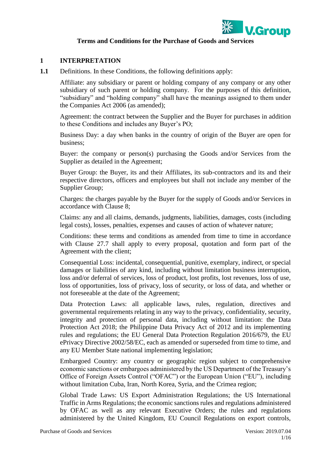

#### **Terms and Conditions for the Purchase of Goods and Services**

#### **1 INTERPRETATION**

**1.1** Definitions. In these Conditions, the following definitions apply:

Affiliate: any subsidiary or parent or holding company of any company or any other subsidiary of such parent or holding company. For the purposes of this definition, "subsidiary" and "holding company" shall have the meanings assigned to them under the Companies Act 2006 (as amended);

Agreement: the contract between the Supplier and the Buyer for purchases in addition to these Conditions and includes any Buyer's PO;

Business Day: a day when banks in the country of origin of the Buyer are open for business;

Buyer: the company or person(s) purchasing the Goods and/or Services from the Supplier as detailed in the Agreement;

Buyer Group: the Buyer, its and their Affiliates, its sub-contractors and its and their respective directors, officers and employees but shall not include any member of the Supplier Group;

Charges: the charges payable by the Buyer for the supply of Goods and/or Services in accordance with Clause 8;

Claims: any and all claims, demands, judgments, liabilities, damages, costs (including legal costs), losses, penalties, expenses and causes of action of whatever nature;

Conditions: these terms and conditions as amended from time to time in accordance with Clause 27.7 shall apply to every proposal, quotation and form part of the Agreement with the client;

Consequential Loss: incidental, consequential, punitive, exemplary, indirect, or special damages or liabilities of any kind, including without limitation business interruption, loss and/or deferral of services, loss of product, lost profits, lost revenues, loss of use, loss of opportunities, loss of privacy, loss of security, or loss of data, and whether or not foreseeable at the date of the Agreement;

Data Protection Laws: all applicable laws, rules, regulation, directives and governmental requirements relating in any way to the privacy, confidentiality, security, integrity and protection of personal data, including without limitation: the Data Protection Act 2018; the Philippine Data Privacy Act of 2012 and its implementing rules and regulations; the EU General Data Protection Regulation 2016/679, the EU ePrivacy Directive 2002/58/EC, each as amended or superseded from time to time, and any EU Member State national implementing legislation;

Embargoed Country: any country or geographic region subject to comprehensive economic sanctions or embargoes administered by the US Department of the Treasury's Office of Foreign Assets Control ("OFAC") or the European Union ("EU"), including without limitation Cuba, Iran, North Korea, Syria, and the Crimea region;

Global Trade Laws: US Export Administration Regulations; the US International Traffic in Arms Regulations; the economic sanctions rules and regulations administered by OFAC as well as any relevant Executive Orders; the rules and regulations administered by the United Kingdom, EU Council Regulations on export controls,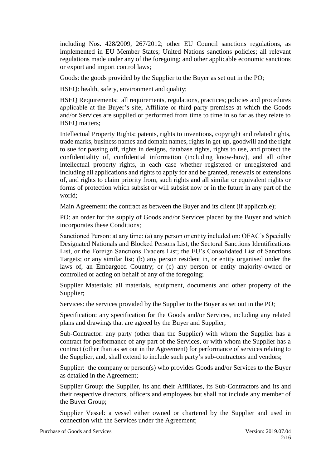including Nos. 428/2009, 267/2012; other EU Council sanctions regulations, as implemented in EU Member States; United Nations sanctions policies; all relevant regulations made under any of the foregoing; and other applicable economic sanctions or export and import control laws;

Goods: the goods provided by the Supplier to the Buyer as set out in the PO;

HSEQ: health, safety, environment and quality;

HSEQ Requirements: all requirements, regulations, practices; policies and procedures applicable at the Buyer's site; Affiliate or third party premises at which the Goods and/or Services are supplied or performed from time to time in so far as they relate to HSEQ matters;

Intellectual Property Rights: patents, rights to inventions, copyright and related rights, trade marks, business names and domain names, rights in get-up, goodwill and the right to sue for passing off, rights in designs, database rights, rights to use, and protect the confidentiality of, confidential information (including know-how), and all other intellectual property rights, in each case whether registered or unregistered and including all applications and rights to apply for and be granted, renewals or extensions of, and rights to claim priority from, such rights and all similar or equivalent rights or forms of protection which subsist or will subsist now or in the future in any part of the world;

Main Agreement: the contract as between the Buyer and its client (if applicable);

PO: an order for the supply of Goods and/or Services placed by the Buyer and which incorporates these Conditions;

Sanctioned Person: at any time: (a) any person or entity included on: OFAC's Specially Designated Nationals and Blocked Persons List, the Sectoral Sanctions Identifications List, or the Foreign Sanctions Evaders List; the EU's Consolidated List of Sanctions Targets; or any similar list; (b) any person resident in, or entity organised under the laws of, an Embargoed Country; or (c) any person or entity majority-owned or controlled or acting on behalf of any of the foregoing;

Supplier Materials: all materials, equipment, documents and other property of the Supplier;

Services: the services provided by the Supplier to the Buyer as set out in the PO;

Specification: any specification for the Goods and/or Services, including any related plans and drawings that are agreed by the Buyer and Supplier;

Sub-Contractor: any party (other than the Supplier) with whom the Supplier has a contract for performance of any part of the Services, or with whom the Supplier has a contract (other than as set out in the Agreement) for performance of services relating to the Supplier, and, shall extend to include such party's sub-contractors and vendors;

Supplier: the company or person(s) who provides Goods and/or Services to the Buyer as detailed in the Agreement;

Supplier Group: the Supplier, its and their Affiliates, its Sub-Contractors and its and their respective directors, officers and employees but shall not include any member of the Buyer Group;

Supplier Vessel: a vessel either owned or chartered by the Supplier and used in connection with the Services under the Agreement;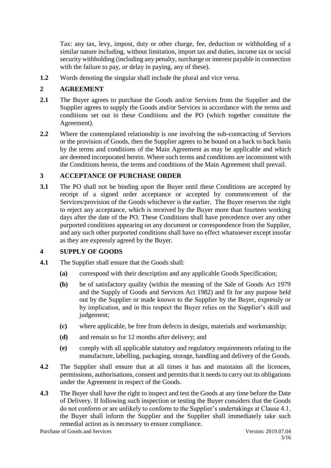Tax: any tax, levy, impost, duty or other charge, fee, deduction or withholding of a similar nature including, without limitation, import tax and duties, income tax or social security withholding (including any penalty, surcharge or interest payable in connection with the failure to pay, or delay in paying, any of these).

**1.2** Words denoting the singular shall include the plural and vice versa.

# **2 AGREEMENT**

- **2.1** The Buyer agrees to purchase the Goods and/or Services from the Supplier and the Supplier agrees to supply the Goods and/or Services in accordance with the terms and conditions set out in these Conditions and the PO (which together constitute the Agreement).
- **2.2** Where the contemplated relationship is one involving the sub-contracting of Services or the provision of Goods, then the Supplier agrees to be bound on a back to back basis by the terms and conditions of the Main Agreement as may be applicable and which are deemed incorporated herein. Where such terms and conditions are inconsistent with the Conditions herein, the terms and conditions of the Main Agreement shall prevail.

# **3 ACCEPTANCE OF PURCHASE ORDER**

**3.1** The PO shall not be binding upon the Buyer until these Conditions are accepted by receipt of a signed order acceptance or accepted by commencement of the Services/provision of the Goods whichever is the earlier. The Buyer reserves the right to reject any acceptance, which is received by the Buyer more than fourteen working days after the date of the PO. These Conditions shall have precedence over any other purported conditions appearing on any document or correspondence from the Supplier, and any such other purported conditions shall have no effect whatsoever except insofar as they are expressly agreed by the Buyer.

# **4 SUPPLY OF GOODS**

- **4.1** The Supplier shall ensure that the Goods shall:
	- **(a)** correspond with their description and any applicable Goods Specification;
	- **(b)** be of satisfactory quality (within the meaning of the Sale of Goods Act 1979 and the Supply of Goods and Services Act 1982) and fit for any purpose held out by the Supplier or made known to the Supplier by the Buyer, expressly or by implication, and in this respect the Buyer relies on the Supplier's skill and judgement:
	- **(c)** where applicable, be free from defects in design, materials and workmanship;
	- **(d)** and remain so for 12 months after delivery; and
	- **(e)** comply with all applicable statutory and regulatory requirements relating to the manufacture, labelling, packaging, storage, handling and delivery of the Goods.
- **4.2** The Supplier shall ensure that at all times it has and maintains all the licences, permissions, authorisations, consent and permits that it needs to carry out its obligations under the Agreement in respect of the Goods.
- **4.3** The Buyer shall have the right to inspect and test the Goods at any time before the Date of Delivery. If following such inspection or testing the Buyer considers that the Goods do not conform or are unlikely to conform to the Supplier's undertakings at Clause 4.1, the Buyer shall inform the Supplier and the Supplier shall immediately take such remedial action as is necessary to ensure compliance.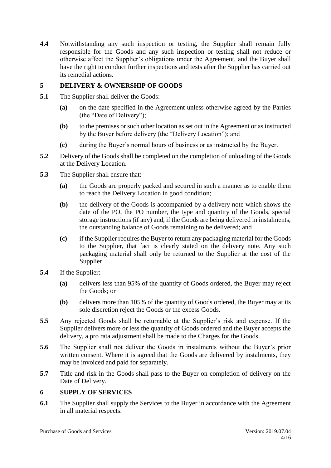**4.4** Notwithstanding any such inspection or testing, the Supplier shall remain fully responsible for the Goods and any such inspection or testing shall not reduce or otherwise affect the Supplier's obligations under the Agreement, and the Buyer shall have the right to conduct further inspections and tests after the Supplier has carried out its remedial actions.

### **5 DELIVERY & OWNERSHIP OF GOODS**

- **5.1** The Supplier shall deliver the Goods:
	- **(a)** on the date specified in the Agreement unless otherwise agreed by the Parties (the "Date of Delivery");
	- **(b)** to the premises or such other location as set out in the Agreement or as instructed by the Buyer before delivery (the "Delivery Location"); and
	- **(c)** during the Buyer's normal hours of business or as instructed by the Buyer.
- **5.2** Delivery of the Goods shall be completed on the completion of unloading of the Goods at the Delivery Location.
- **5.3** The Supplier shall ensure that:
	- **(a)** the Goods are properly packed and secured in such a manner as to enable them to reach the Delivery Location in good condition;
	- **(b)** the delivery of the Goods is accompanied by a delivery note which shows the date of the PO, the PO number, the type and quantity of the Goods, special storage instructions (if any) and, if the Goods are being delivered in instalments, the outstanding balance of Goods remaining to be delivered; and
	- **(c)** if the Supplier requires the Buyer to return any packaging material for the Goods to the Supplier, that fact is clearly stated on the delivery note. Any such packaging material shall only be returned to the Supplier at the cost of the Supplier.
- **5.4** If the Supplier:
	- **(a)** delivers less than 95% of the quantity of Goods ordered, the Buyer may reject the Goods; or
	- **(b)** delivers more than 105% of the quantity of Goods ordered, the Buyer may at its sole discretion reject the Goods or the excess Goods.
- **5.5** Any rejected Goods shall be returnable at the Supplier's risk and expense. If the Supplier delivers more or less the quantity of Goods ordered and the Buyer accepts the delivery, a pro rata adjustment shall be made to the Charges for the Goods.
- **5.6** The Supplier shall not deliver the Goods in instalments without the Buyer's prior written consent. Where it is agreed that the Goods are delivered by instalments, they may be invoiced and paid for separately.
- **5.7** Title and risk in the Goods shall pass to the Buyer on completion of delivery on the Date of Delivery.

# **6 SUPPLY OF SERVICES**

**6.1** The Supplier shall supply the Services to the Buyer in accordance with the Agreement in all material respects.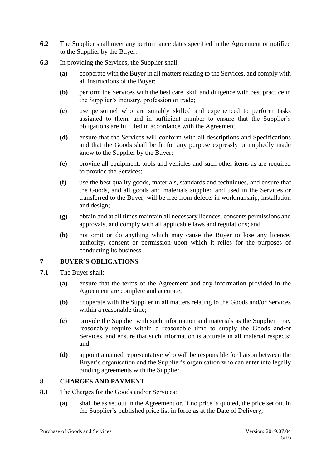- **6.2** The Supplier shall meet any performance dates specified in the Agreement or notified to the Supplier by the Buyer.
- **6.3** In providing the Services, the Supplier shall:
	- **(a)** cooperate with the Buyer in all matters relating to the Services, and comply with all instructions of the Buyer;
	- **(b)** perform the Services with the best care, skill and diligence with best practice in the Supplier's industry, profession or trade;
	- **(c)** use personnel who are suitably skilled and experienced to perform tasks assigned to them, and in sufficient number to ensure that the Supplier's obligations are fulfilled in accordance with the Agreement;
	- **(d)** ensure that the Services will conform with all descriptions and Specifications and that the Goods shall be fit for any purpose expressly or impliedly made know to the Supplier by the Buyer;
	- **(e)** provide all equipment, tools and vehicles and such other items as are required to provide the Services;
	- **(f)** use the best quality goods, materials, standards and techniques, and ensure that the Goods, and all goods and materials supplied and used in the Services or transferred to the Buyer, will be free from defects in workmanship, installation and design;
	- **(g)** obtain and at all times maintain all necessary licences, consents permissions and approvals, and comply with all applicable laws and regulations; and
	- **(h)** not omit or do anything which may cause the Buyer to lose any licence, authority, consent or permission upon which it relies for the purposes of conducting its business.

# **7 BUYER'S OBLIGATIONS**

- **7.1** The Buyer shall:
	- **(a)** ensure that the terms of the Agreement and any information provided in the Agreement are complete and accurate;
	- **(b)** cooperate with the Supplier in all matters relating to the Goods and/or Services within a reasonable time;
	- **(c)** provide the Supplier with such information and materials as the Supplier may reasonably require within a reasonable time to supply the Goods and/or Services, and ensure that such information is accurate in all material respects; and
	- **(d)** appoint a named representative who will be responsible for liaison between the Buyer's organisation and the Supplier's organisation who can enter into legally binding agreements with the Supplier.

### **8 CHARGES AND PAYMENT**

- **8.1** The Charges for the Goods and/or Services:
	- **(a)** shall be as set out in the Agreement or, if no price is quoted, the price set out in the Supplier's published price list in force as at the Date of Delivery;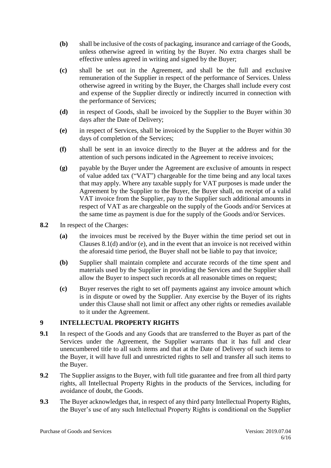- **(b)** shall be inclusive of the costs of packaging, insurance and carriage of the Goods, unless otherwise agreed in writing by the Buyer. No extra charges shall be effective unless agreed in writing and signed by the Buyer;
- **(c)** shall be set out in the Agreement, and shall be the full and exclusive remuneration of the Supplier in respect of the performance of Services. Unless otherwise agreed in writing by the Buyer, the Charges shall include every cost and expense of the Supplier directly or indirectly incurred in connection with the performance of Services;
- **(d)** in respect of Goods, shall be invoiced by the Supplier to the Buyer within 30 days after the Date of Delivery;
- **(e)** in respect of Services, shall be invoiced by the Supplier to the Buyer within 30 days of completion of the Services;
- **(f)** shall be sent in an invoice directly to the Buyer at the address and for the attention of such persons indicated in the Agreement to receive invoices;
- **(g)** payable by the Buyer under the Agreement are exclusive of amounts in respect of value added tax ("VAT") chargeable for the time being and any local taxes that may apply. Where any taxable supply for VAT purposes is made under the Agreement by the Supplier to the Buyer, the Buyer shall, on receipt of a valid VAT invoice from the Supplier, pay to the Supplier such additional amounts in respect of VAT as are chargeable on the supply of the Goods and/or Services at the same time as payment is due for the supply of the Goods and/or Services.
- **8.2** In respect of the Charges:
	- **(a)** the invoices must be received by the Buyer within the time period set out in Clauses 8.1(d) and/or (e), and in the event that an invoice is not received within the aforesaid time period, the Buyer shall not be liable to pay that invoice;
	- **(b)** Supplier shall maintain complete and accurate records of the time spent and materials used by the Supplier in providing the Services and the Supplier shall allow the Buyer to inspect such records at all reasonable times on request;
	- **(c)** Buyer reserves the right to set off payments against any invoice amount which is in dispute or owed by the Supplier. Any exercise by the Buyer of its rights under this Clause shall not limit or affect any other rights or remedies available to it under the Agreement.

### **9 INTELLECTUAL PROPERTY RIGHTS**

- **9.1** In respect of the Goods and any Goods that are transferred to the Buyer as part of the Services under the Agreement, the Supplier warrants that it has full and clear unencumbered title to all such items and that at the Date of Delivery of such items to the Buyer, it will have full and unrestricted rights to sell and transfer all such items to the Buyer.
- **9.2** The Supplier assigns to the Buyer, with full title guarantee and free from all third party rights, all Intellectual Property Rights in the products of the Services, including for avoidance of doubt, the Goods.
- **9.3** The Buyer acknowledges that, in respect of any third party Intellectual Property Rights, the Buyer's use of any such Intellectual Property Rights is conditional on the Supplier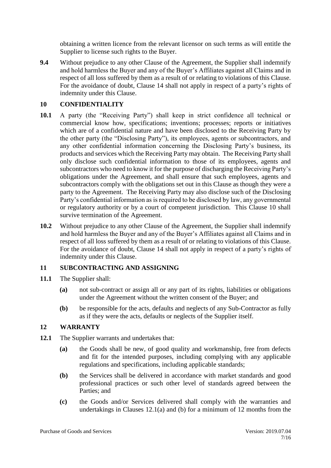obtaining a written licence from the relevant licensor on such terms as will entitle the Supplier to license such rights to the Buyer.

**9.4** Without prejudice to any other Clause of the Agreement, the Supplier shall indemnify and hold harmless the Buyer and any of the Buyer's Affiliates against all Claims and in respect of all loss suffered by them as a result of or relating to violations of this Clause. For the avoidance of doubt, Clause 14 shall not apply in respect of a party's rights of indemnity under this Clause.

### **10 CONFIDENTIALITY**

- **10.1** A party (the "Receiving Party") shall keep in strict confidence all technical or commercial know how, specifications; inventions; processes; reports or initiatives which are of a confidential nature and have been disclosed to the Receiving Party by the other party (the "Disclosing Party"), its employees, agents or subcontractors, and any other confidential information concerning the Disclosing Party's business, its products and services which the Receiving Party may obtain. The Receiving Party shall only disclose such confidential information to those of its employees, agents and subcontractors who need to know it for the purpose of discharging the Receiving Party's obligations under the Agreement, and shall ensure that such employees, agents and subcontractors comply with the obligations set out in this Clause as though they were a party to the Agreement. The Receiving Party may also disclose such of the Disclosing Party's confidential information as is required to be disclosed by law, any governmental or regulatory authority or by a court of competent jurisdiction. This Clause 10 shall survive termination of the Agreement.
- **10.2** Without prejudice to any other Clause of the Agreement, the Supplier shall indemnify and hold harmless the Buyer and any of the Buyer's Affiliates against all Claims and in respect of all loss suffered by them as a result of or relating to violations of this Clause. For the avoidance of doubt, Clause 14 shall not apply in respect of a party's rights of indemnity under this Clause.

### **11 SUBCONTRACTING AND ASSIGNING**

- **11.1** The Supplier shall:
	- **(a)** not sub-contract or assign all or any part of its rights, liabilities or obligations under the Agreement without the written consent of the Buyer; and
	- **(b)** be responsible for the acts, defaults and neglects of any Sub-Contractor as fully as if they were the acts, defaults or neglects of the Supplier itself.

### **12 WARRANTY**

- **12.1** The Supplier warrants and undertakes that:
	- **(a)** the Goods shall be new, of good quality and workmanship, free from defects and fit for the intended purposes, including complying with any applicable regulations and specifications, including applicable standards;
	- **(b)** the Services shall be delivered in accordance with market standards and good professional practices or such other level of standards agreed between the Parties; and
	- **(c)** the Goods and/or Services delivered shall comply with the warranties and undertakings in Clauses 12.1(a) and (b) for a minimum of 12 months from the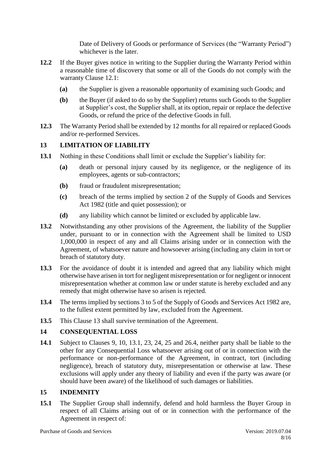Date of Delivery of Goods or performance of Services (the "Warranty Period") whichever is the later.

- **12.2** If the Buyer gives notice in writing to the Supplier during the Warranty Period within a reasonable time of discovery that some or all of the Goods do not comply with the warranty Clause 12.1:
	- **(a)** the Supplier is given a reasonable opportunity of examining such Goods; and
	- **(b)** the Buyer (if asked to do so by the Supplier) returns such Goods to the Supplier at Supplier's cost, the Supplier shall, at its option, repair or replace the defective Goods, or refund the price of the defective Goods in full.
- **12.3** The Warranty Period shall be extended by 12 months for all repaired or replaced Goods and/or re-performed Services.

### **13 LIMITATION OF LIABILITY**

- **13.1** Nothing in these Conditions shall limit or exclude the Supplier's liability for:
	- **(a)** death or personal injury caused by its negligence, or the negligence of its employees, agents or sub-contractors;
	- **(b)** fraud or fraudulent misrepresentation;
	- **(c)** breach of the terms implied by section 2 of the Supply of Goods and Services Act 1982 (title and quiet possession); or
	- **(d)** any liability which cannot be limited or excluded by applicable law.
- **13.2** Notwithstanding any other provisions of the Agreement, the liability of the Supplier under, pursuant to or in connection with the Agreement shall be limited to USD 1,000,000 in respect of any and all Claims arising under or in connection with the Agreement, of whatsoever nature and howsoever arising (including any claim in tort or breach of statutory duty.
- **13.3** For the avoidance of doubt it is intended and agreed that any liability which might otherwise have arisen in tort for negligent misrepresentation or for negligent or innocent misrepresentation whether at common law or under statute is hereby excluded and any remedy that might otherwise have so arisen is rejected.
- **13.4** The terms implied by sections 3 to 5 of the Supply of Goods and Services Act 1982 are, to the fullest extent permitted by law, excluded from the Agreement.
- **13.5** This Clause 13 shall survive termination of the Agreement.

# **14 CONSEQUENTIAL LOSS**

**14.1** Subject to Clauses 9, 10, 13.1, 23, 24, 25 and 26.4, neither party shall be liable to the other for any Consequential Loss whatsoever arising out of or in connection with the performance or non-performance of the Agreement, in contract, tort (including negligence), breach of statutory duty, misrepresentation or otherwise at law. These exclusions will apply under any theory of liability and even if the party was aware (or should have been aware) of the likelihood of such damages or liabilities.

# **15 INDEMNITY**

**15.1** The Supplier Group shall indemnify, defend and hold harmless the Buyer Group in respect of all Claims arising out of or in connection with the performance of the Agreement in respect of: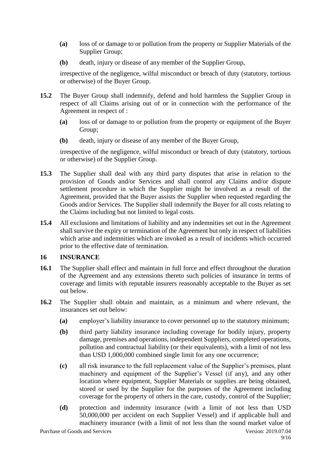- **(a)** loss of or damage to or pollution from the property or Supplier Materials of the Supplier Group;
- **(b)** death, injury or disease of any member of the Supplier Group,

irrespective of the negligence, wilful misconduct or breach of duty (statutory, tortious or otherwise) of the Buyer Group.

- **15.2** The Buyer Group shall indemnify, defend and hold harmless the Supplier Group in respect of all Claims arising out of or in connection with the performance of the Agreement in respect of :
	- **(a)** loss of or damage to or pollution from the property or equipment of the Buyer Group;
	- **(b)** death, injury or disease of any member of the Buyer Group,

irrespective of the negligence, wilful misconduct or breach of duty (statutory, tortious or otherwise) of the Supplier Group.

- **15.3** The Supplier shall deal with any third party disputes that arise in relation to the provision of Goods and/or Services and shall control any Claims and/or dispute settlement procedure in which the Supplier might be involved as a result of the Agreement, provided that the Buyer assists the Supplier when requested regarding the Goods and/or Services. The Supplier shall indemnify the Buyer for all costs relating to the Claims including but not limited to legal costs.
- **15.4** All exclusions and limitations of liability and any indemnities set out in the Agreement shall survive the expiry or termination of the Agreement but only in respect of liabilities which arise and indemnities which are invoked as a result of incidents which occurred prior to the effective date of termination.

#### **16 INSURANCE**

- **16.1** The Supplier shall effect and maintain in full force and effect throughout the duration of the Agreement and any extensions thereto such policies of insurance in terms of coverage and limits with reputable insurers reasonably acceptable to the Buyer as set out below.
- **16.2** The Supplier shall obtain and maintain, as a minimum and where relevant, the insurances set out below:
	- **(a)** employer's liability insurance to cover personnel up to the statutory minimum;
	- **(b)** third party liability insurance including coverage for bodily injury, property damage, premises and operations, independent Suppliers, completed operations, pollution and contractual liability (or their equivalents), with a limit of not less than USD 1,000,000 combined single limit for any one occurrence;
	- **(c)** all risk insurance to the full replacement value of the Supplier's premises, plant machinery and equipment of the Supplier's Vessel (if any), and any other location where equipment, Supplier Materials or supplies are being obtained, stored or used by the Supplier for the purposes of the Agreement including coverage for the property of others in the care, custody, control of the Supplier;
	- **(d)** protection and indemnity insurance (with a limit of not less than USD 50,000,000 per accident on each Supplier Vessel) and if applicable hull and machinery insurance (with a limit of not less than the sound market value of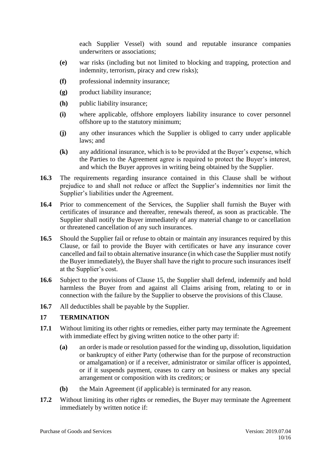each Supplier Vessel) with sound and reputable insurance companies underwriters or associations;

- **(e)** war risks (including but not limited to blocking and trapping, protection and indemnity, terrorism, piracy and crew risks);
- **(f)** professional indemnity insurance;
- **(g)** product liability insurance;
- **(h)** public liability insurance;
- **(i)** where applicable, offshore employers liability insurance to cover personnel offshore up to the statutory minimum;
- **(j)** any other insurances which the Supplier is obliged to carry under applicable laws; and
- **(k)** any additional insurance, which is to be provided at the Buyer's expense, which the Parties to the Agreement agree is required to protect the Buyer's interest, and which the Buyer approves in writing being obtained by the Supplier.
- **16.3** The requirements regarding insurance contained in this Clause shall be without prejudice to and shall not reduce or affect the Supplier's indemnities nor limit the Supplier's liabilities under the Agreement.
- **16.4** Prior to commencement of the Services, the Supplier shall furnish the Buyer with certificates of insurance and thereafter, renewals thereof, as soon as practicable. The Supplier shall notify the Buyer immediately of any material change to or cancellation or threatened cancellation of any such insurances.
- **16.5** Should the Supplier fail or refuse to obtain or maintain any insurances required by this Clause, or fail to provide the Buyer with certificates or have any insurance cover cancelled and fail to obtain alternative insurance (in which case the Supplier must notify the Buyer immediately), the Buyer shall have the right to procure such insurances itself at the Supplier's cost.
- **16.6** Subject to the provisions of Clause 15, the Supplier shall defend, indemnify and hold harmless the Buyer from and against all Claims arising from, relating to or in connection with the failure by the Supplier to observe the provisions of this Clause.
- **16.7** All deductibles shall be payable by the Supplier.

# **17 TERMINATION**

- **17.1** Without limiting its other rights or remedies, either party may terminate the Agreement with immediate effect by giving written notice to the other party if:
	- **(a)** an order is made or resolution passed for the winding up, dissolution, liquidation or bankruptcy of either Party (otherwise than for the purpose of reconstruction or amalgamation) or if a receiver, administrator or similar officer is appointed, or if it suspends payment, ceases to carry on business or makes any special arrangement or composition with its creditors; or
	- **(b)** the Main Agreement (if applicable) is terminated for any reason.
- **17.2** Without limiting its other rights or remedies, the Buyer may terminate the Agreement immediately by written notice if: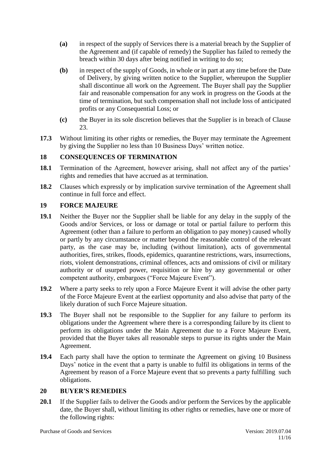- **(a)** in respect of the supply of Services there is a material breach by the Supplier of the Agreement and (if capable of remedy) the Supplier has failed to remedy the breach within 30 days after being notified in writing to do so;
- **(b)** in respect of the supply of Goods, in whole or in part at any time before the Date of Delivery, by giving written notice to the Supplier, whereupon the Supplier shall discontinue all work on the Agreement. The Buyer shall pay the Supplier fair and reasonable compensation for any work in progress on the Goods at the time of termination, but such compensation shall not include loss of anticipated profits or any Consequential Loss; or
- **(c)** the Buyer in its sole discretion believes that the Supplier is in breach of Clause 23.
- **17.3** Without limiting its other rights or remedies, the Buyer may terminate the Agreement by giving the Supplier no less than 10 Business Days' written notice.

# **18 CONSEQUENCES OF TERMINATION**

- **18.1** Termination of the Agreement, however arising, shall not affect any of the parties' rights and remedies that have accrued as at termination.
- **18.2** Clauses which expressly or by implication survive termination of the Agreement shall continue in full force and effect.

### **19 FORCE MAJEURE**

- **19.1** Neither the Buyer nor the Supplier shall be liable for any delay in the supply of the Goods and/or Services, or loss or damage or total or partial failure to perform this Agreement (other than a failure to perform an obligation to pay money) caused wholly or partly by any circumstance or matter beyond the reasonable control of the relevant party, as the case may be, including (without limitation), acts of governmental authorities, fires, strikes, floods, epidemics, quarantine restrictions, wars, insurrections, riots, violent demonstrations, criminal offences, acts and omissions of civil or military authority or of usurped power, requisition or hire by any governmental or other competent authority, embargoes ("Force Majeure Event").
- **19.2** Where a party seeks to rely upon a Force Majeure Event it will advise the other party of the Force Majeure Event at the earliest opportunity and also advise that party of the likely duration of such Force Majeure situation.
- **19.3** The Buyer shall not be responsible to the Supplier for any failure to perform its obligations under the Agreement where there is a corresponding failure by its client to perform its obligations under the Main Agreement due to a Force Majeure Event, provided that the Buyer takes all reasonable steps to pursue its rights under the Main Agreement.
- **19.4** Each party shall have the option to terminate the Agreement on giving 10 Business Days' notice in the event that a party is unable to fulfil its obligations in terms of the Agreement by reason of a Force Majeure event that so prevents a party fulfilling such obligations.

### **20 BUYER'S REMEDIES**

**20.1** If the Supplier fails to deliver the Goods and/or perform the Services by the applicable date, the Buyer shall, without limiting its other rights or remedies, have one or more of the following rights: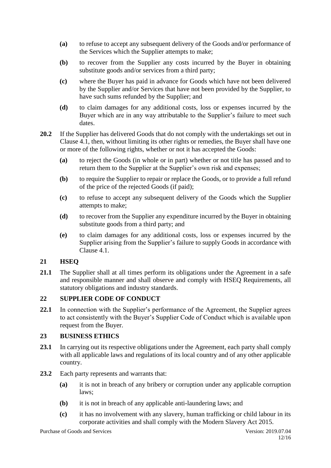- **(a)** to refuse to accept any subsequent delivery of the Goods and/or performance of the Services which the Supplier attempts to make;
- **(b)** to recover from the Supplier any costs incurred by the Buyer in obtaining substitute goods and/or services from a third party;
- **(c)** where the Buyer has paid in advance for Goods which have not been delivered by the Supplier and/or Services that have not been provided by the Supplier, to have such sums refunded by the Supplier; and
- **(d)** to claim damages for any additional costs, loss or expenses incurred by the Buyer which are in any way attributable to the Supplier's failure to meet such dates.
- **20.2** If the Supplier has delivered Goods that do not comply with the undertakings set out in Clause 4.1, then, without limiting its other rights or remedies, the Buyer shall have one or more of the following rights, whether or not it has accepted the Goods:
	- **(a)** to reject the Goods (in whole or in part) whether or not title has passed and to return them to the Supplier at the Supplier's own risk and expenses;
	- **(b)** to require the Supplier to repair or replace the Goods, or to provide a full refund of the price of the rejected Goods (if paid);
	- **(c)** to refuse to accept any subsequent delivery of the Goods which the Supplier attempts to make;
	- **(d)** to recover from the Supplier any expenditure incurred by the Buyer in obtaining substitute goods from a third party; and
	- **(e)** to claim damages for any additional costs, loss or expenses incurred by the Supplier arising from the Supplier's failure to supply Goods in accordance with Clause 4.1.

### **21 HSEQ**

**21.1** The Supplier shall at all times perform its obligations under the Agreement in a safe and responsible manner and shall observe and comply with HSEQ Requirements, all statutory obligations and industry standards.

### **22 SUPPLIER CODE OF CONDUCT**

**22.1** In connection with the Supplier's performance of the Agreement, the Supplier agrees to act consistently with the Buyer's Supplier Code of Conduct which is available upon request from the Buyer.

### **23 BUSINESS ETHICS**

- 23.1 In carrying out its respective obligations under the Agreement, each party shall comply with all applicable laws and regulations of its local country and of any other applicable country.
- **23.2** Each party represents and warrants that:
	- **(a)** it is not in breach of any bribery or corruption under any applicable corruption laws;
	- **(b)** it is not in breach of any applicable anti-laundering laws; and
	- **(c)** it has no involvement with any slavery, human trafficking or child labour in its corporate activities and shall comply with the Modern Slavery Act 2015.

Purchase of Goods and Services **Version: 2019.07.04**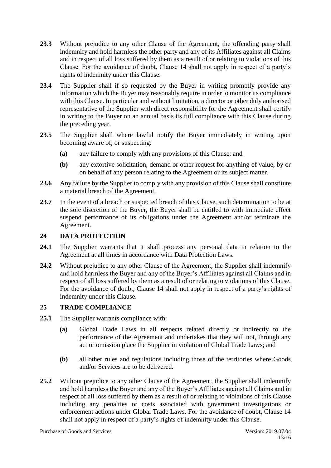- **23.3** Without prejudice to any other Clause of the Agreement, the offending party shall indemnify and hold harmless the other party and any of its Affiliates against all Claims and in respect of all loss suffered by them as a result of or relating to violations of this Clause. For the avoidance of doubt, Clause 14 shall not apply in respect of a party's rights of indemnity under this Clause.
- **23.4** The Supplier shall if so requested by the Buyer in writing promptly provide any information which the Buyer may reasonably require in order to monitor its compliance with this Clause. In particular and without limitation, a director or other duly authorised representative of the Supplier with direct responsibility for the Agreement shall certify in writing to the Buyer on an annual basis its full compliance with this Clause during the preceding year.
- **23.5** The Supplier shall where lawful notify the Buyer immediately in writing upon becoming aware of, or suspecting:
	- **(a)** any failure to comply with any provisions of this Clause; and
	- **(b)** any extortive solicitation, demand or other request for anything of value, by or on behalf of any person relating to the Agreement or its subject matter.
- **23.6** Any failure by the Supplier to comply with any provision of this Clause shall constitute a material breach of the Agreement.
- 23.7 In the event of a breach or suspected breach of this Clause, such determination to be at the sole discretion of the Buyer, the Buyer shall be entitled to with immediate effect suspend performance of its obligations under the Agreement and/or terminate the Agreement.

### **24 DATA PROTECTION**

- **24.1** The Supplier warrants that it shall process any personal data in relation to the Agreement at all times in accordance with Data Protection Laws.
- **24.2** Without prejudice to any other Clause of the Agreement, the Supplier shall indemnify and hold harmless the Buyer and any of the Buyer's Affiliates against all Claims and in respect of all loss suffered by them as a result of or relating to violations of this Clause. For the avoidance of doubt, Clause 14 shall not apply in respect of a party's rights of indemnity under this Clause.

# **25 TRADE COMPLIANCE**

- **25.1** The Supplier warrants compliance with:
	- **(a)** Global Trade Laws in all respects related directly or indirectly to the performance of the Agreement and undertakes that they will not, through any act or omission place the Supplier in violation of Global Trade Laws; and
	- **(b)** all other rules and regulations including those of the territories where Goods and/or Services are to be delivered.
- **25.2** Without prejudice to any other Clause of the Agreement, the Supplier shall indemnify and hold harmless the Buyer and any of the Buyer's Affiliates against all Claims and in respect of all loss suffered by them as a result of or relating to violations of this Clause including any penalties or costs associated with government investigations or enforcement actions under Global Trade Laws. For the avoidance of doubt, Clause 14 shall not apply in respect of a party's rights of indemnity under this Clause.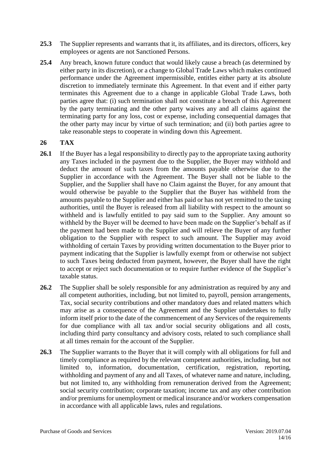- **25.3** The Supplier represents and warrants that it, its affiliates, and its directors, officers, key employees or agents are not Sanctioned Persons.
- **25.4** Any breach, known future conduct that would likely cause a breach (as determined by either party in its discretion), or a change to Global Trade Laws which makes continued performance under the Agreement impermissible, entitles either party at its absolute discretion to immediately terminate this Agreement. In that event and if either party terminates this Agreement due to a change in applicable Global Trade Laws, both parties agree that: (i) such termination shall not constitute a breach of this Agreement by the party terminating and the other party waives any and all claims against the terminating party for any loss, cost or expense, including consequential damages that the other party may incur by virtue of such termination; and (ii) both parties agree to take reasonable steps to cooperate in winding down this Agreement.

### **26 TAX**

- **26.1** If the Buyer has a legal responsibility to directly pay to the appropriate taxing authority any Taxes included in the payment due to the Supplier, the Buyer may withhold and deduct the amount of such taxes from the amounts payable otherwise due to the Supplier in accordance with the Agreement. The Buyer shall not be liable to the Supplier, and the Supplier shall have no Claim against the Buyer, for any amount that would otherwise be payable to the Supplier that the Buyer has withheld from the amounts payable to the Supplier and either has paid or has not yet remitted to the taxing authorities, until the Buyer is released from all liability with respect to the amount so withheld and is lawfully entitled to pay said sum to the Supplier. Any amount so withheld by the Buyer will be deemed to have been made on the Supplier's behalf as if the payment had been made to the Supplier and will relieve the Buyer of any further obligation to the Supplier with respect to such amount. The Supplier may avoid withholding of certain Taxes by providing written documentation to the Buyer prior to payment indicating that the Supplier is lawfully exempt from or otherwise not subject to such Taxes being deducted from payment, however, the Buyer shall have the right to accept or reject such documentation or to require further evidence of the Supplier's taxable status.
- **26.2** The Supplier shall be solely responsible for any administration as required by any and all competent authorities, including, but not limited to, payroll, pension arrangements, Tax, social security contributions and other mandatory dues and related matters which may arise as a consequence of the Agreement and the Supplier undertakes to fully inform itself prior to the date of the commencement of any Services of the requirements for due compliance with all tax and/or social security obligations and all costs, including third party consultancy and advisory costs, related to such compliance shall at all times remain for the account of the Supplier.
- **26.3** The Supplier warrants to the Buyer that it will comply with all obligations for full and timely compliance as required by the relevant competent authorities, including, but not limited to, information, documentation, certification, registration, reporting, withholding and payment of any and all Taxes, of whatever name and nature, including, but not limited to, any withholding from remuneration derived from the Agreement; social security contribution; corporate taxation; income tax and any other contribution and/or premiums for unemployment or medical insurance and/or workers compensation in accordance with all applicable laws, rules and regulations.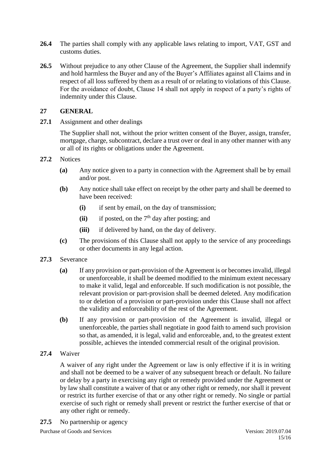- **26.4** The parties shall comply with any applicable laws relating to import, VAT, GST and customs duties.
- 26.5 Without prejudice to any other Clause of the Agreement, the Supplier shall indemnify and hold harmless the Buyer and any of the Buyer's Affiliates against all Claims and in respect of all loss suffered by them as a result of or relating to violations of this Clause. For the avoidance of doubt, Clause 14 shall not apply in respect of a party's rights of indemnity under this Clause.

### **27 GENERAL**

27.1 Assignment and other dealings

The Supplier shall not, without the prior written consent of the Buyer, assign, transfer, mortgage, charge, subcontract, declare a trust over or deal in any other manner with any or all of its rights or obligations under the Agreement.

- **27.2** Notices
	- **(a)** Any notice given to a party in connection with the Agreement shall be by email and/or post.
	- **(b)** Any notice shall take effect on receipt by the other party and shall be deemed to have been received:
		- **(i)** if sent by email, on the day of transmission;
		- $(iii)$  if posted, on the  $7<sup>th</sup>$  day after posting; and
		- **(iii)** if delivered by hand, on the day of delivery.
	- **(c)** The provisions of this Clause shall not apply to the service of any proceedings or other documents in any legal action.
- **27.3** Severance
	- **(a)** If any provision or part-provision of the Agreement is or becomes invalid, illegal or unenforceable, it shall be deemed modified to the minimum extent necessary to make it valid, legal and enforceable. If such modification is not possible, the relevant provision or part-provision shall be deemed deleted. Any modification to or deletion of a provision or part-provision under this Clause shall not affect the validity and enforceability of the rest of the Agreement.
	- **(b)** If any provision or part-provision of the Agreement is invalid, illegal or unenforceable, the parties shall negotiate in good faith to amend such provision so that, as amended, it is legal, valid and enforceable, and, to the greatest extent possible, achieves the intended commercial result of the original provision.
- **27.4** Waiver

A waiver of any right under the Agreement or law is only effective if it is in writing and shall not be deemed to be a waiver of any subsequent breach or default. No failure or delay by a party in exercising any right or remedy provided under the Agreement or by law shall constitute a waiver of that or any other right or remedy, nor shall it prevent or restrict its further exercise of that or any other right or remedy. No single or partial exercise of such right or remedy shall prevent or restrict the further exercise of that or any other right or remedy.

**27.5** No partnership or agency